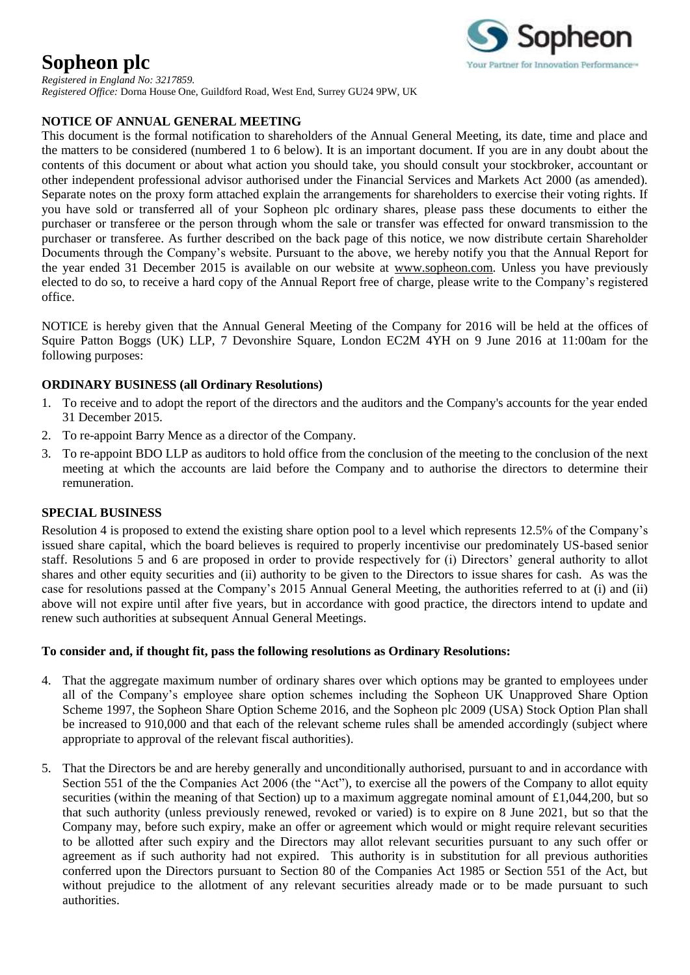# **Sopheon plc**

*Registered in England No: 3217859. Registered Office:* Dorna House One, Guildford Road, West End, Surrey GU24 9PW, UK

## **NOTICE OF ANNUAL GENERAL MEETING**

This document is the formal notification to shareholders of the Annual General Meeting, its date, time and place and the matters to be considered (numbered 1 to 6 below). It is an important document. If you are in any doubt about the contents of this document or about what action you should take, you should consult your stockbroker, accountant or other independent professional advisor authorised under the Financial Services and Markets Act 2000 (as amended). Separate notes on the proxy form attached explain the arrangements for shareholders to exercise their voting rights. If you have sold or transferred all of your Sopheon plc ordinary shares, please pass these documents to either the purchaser or transferee or the person through whom the sale or transfer was effected for onward transmission to the purchaser or transferee. As further described on the back page of this notice, we now distribute certain Shareholder Documents through the Company's website. Pursuant to the above, we hereby notify you that the Annual Report for the year ended 31 December 2015 is available on our website at www.sopheon.com. Unless you have previously elected to do so, to receive a hard copy of the Annual Report free of charge, please write to the Company's registered office.

NOTICE is hereby given that the Annual General Meeting of the Company for 2016 will be held at the offices of Squire Patton Boggs (UK) LLP, 7 Devonshire Square, London EC2M 4YH on 9 June 2016 at 11:00am for the following purposes:

## **ORDINARY BUSINESS (all Ordinary Resolutions)**

- 1. To receive and to adopt the report of the directors and the auditors and the Company's accounts for the year ended 31 December 2015.
- 2. To re-appoint Barry Mence as a director of the Company.
- 3. To re-appoint BDO LLP as auditors to hold office from the conclusion of the meeting to the conclusion of the next meeting at which the accounts are laid before the Company and to authorise the directors to determine their remuneration.

## **SPECIAL BUSINESS**

Resolution 4 is proposed to extend the existing share option pool to a level which represents 12.5% of the Company's issued share capital, which the board believes is required to properly incentivise our predominately US-based senior staff. Resolutions 5 and 6 are proposed in order to provide respectively for (i) Directors' general authority to allot shares and other equity securities and (ii) authority to be given to the Directors to issue shares for cash. As was the case for resolutions passed at the Company's 2015 Annual General Meeting, the authorities referred to at (i) and (ii) above will not expire until after five years, but in accordance with good practice, the directors intend to update and renew such authorities at subsequent Annual General Meetings.

## **To consider and, if thought fit, pass the following resolutions as Ordinary Resolutions:**

- 4. That the aggregate maximum number of ordinary shares over which options may be granted to employees under all of the Company's employee share option schemes including the Sopheon UK Unapproved Share Option Scheme 1997, the Sopheon Share Option Scheme 2016, and the Sopheon plc 2009 (USA) Stock Option Plan shall be increased to 910,000 and that each of the relevant scheme rules shall be amended accordingly (subject where appropriate to approval of the relevant fiscal authorities).
- 5. That the Directors be and are hereby generally and unconditionally authorised, pursuant to and in accordance with Section 551 of the the Companies Act 2006 (the "Act"), to exercise all the powers of the Company to allot equity securities (within the meaning of that Section) up to a maximum aggregate nominal amount of £1,044,200, but so that such authority (unless previously renewed, revoked or varied) is to expire on 8 June 2021, but so that the Company may, before such expiry, make an offer or agreement which would or might require relevant securities to be allotted after such expiry and the Directors may allot relevant securities pursuant to any such offer or agreement as if such authority had not expired. This authority is in substitution for all previous authorities conferred upon the Directors pursuant to Section 80 of the Companies Act 1985 or Section 551 of the Act, but without prejudice to the allotment of any relevant securities already made or to be made pursuant to such authorities.

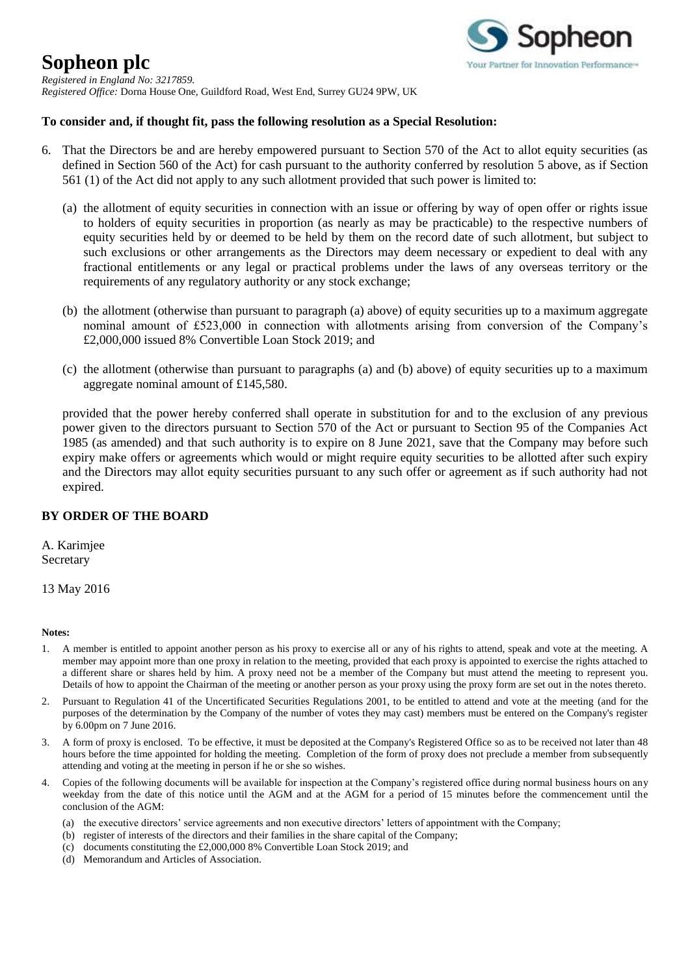# **Sopheon plc**



*Registered in England No: 3217859. Registered Office:* Dorna House One, Guildford Road, West End, Surrey GU24 9PW, UK

### **To consider and, if thought fit, pass the following resolution as a Special Resolution:**

- 6. That the Directors be and are hereby empowered pursuant to Section 570 of the Act to allot equity securities (as defined in Section 560 of the Act) for cash pursuant to the authority conferred by resolution 5 above, as if Section 561 (1) of the Act did not apply to any such allotment provided that such power is limited to:
	- (a) the allotment of equity securities in connection with an issue or offering by way of open offer or rights issue to holders of equity securities in proportion (as nearly as may be practicable) to the respective numbers of equity securities held by or deemed to be held by them on the record date of such allotment, but subject to such exclusions or other arrangements as the Directors may deem necessary or expedient to deal with any fractional entitlements or any legal or practical problems under the laws of any overseas territory or the requirements of any regulatory authority or any stock exchange;
	- (b) the allotment (otherwise than pursuant to paragraph (a) above) of equity securities up to a maximum aggregate nominal amount of £523,000 in connection with allotments arising from conversion of the Company's £2,000,000 issued 8% Convertible Loan Stock 2019; and
	- (c) the allotment (otherwise than pursuant to paragraphs (a) and (b) above) of equity securities up to a maximum aggregate nominal amount of £145,580.

provided that the power hereby conferred shall operate in substitution for and to the exclusion of any previous power given to the directors pursuant to Section 570 of the Act or pursuant to Section 95 of the Companies Act 1985 (as amended) and that such authority is to expire on 8 June 2021, save that the Company may before such expiry make offers or agreements which would or might require equity securities to be allotted after such expiry and the Directors may allot equity securities pursuant to any such offer or agreement as if such authority had not expired.

### **BY ORDER OF THE BOARD**

A. Karimjee Secretary

13 May 2016

#### **Notes:**

- 1. A member is entitled to appoint another person as his proxy to exercise all or any of his rights to attend, speak and vote at the meeting. A member may appoint more than one proxy in relation to the meeting, provided that each proxy is appointed to exercise the rights attached to a different share or shares held by him. A proxy need not be a member of the Company but must attend the meeting to represent you. Details of how to appoint the Chairman of the meeting or another person as your proxy using the proxy form are set out in the notes thereto.
- 2. Pursuant to Regulation 41 of the Uncertificated Securities Regulations 2001, to be entitled to attend and vote at the meeting (and for the purposes of the determination by the Company of the number of votes they may cast) members must be entered on the Company's register by 6.00pm on 7 June 2016.
- 3. A form of proxy is enclosed. To be effective, it must be deposited at the Company's Registered Office so as to be received not later than 48 hours before the time appointed for holding the meeting. Completion of the form of proxy does not preclude a member from subsequently attending and voting at the meeting in person if he or she so wishes.
- 4. Copies of the following documents will be available for inspection at the Company's registered office during normal business hours on any weekday from the date of this notice until the AGM and at the AGM for a period of 15 minutes before the commencement until the conclusion of the AGM:
	- (a) the executive directors' service agreements and non executive directors' letters of appointment with the Company;
	- (b) register of interests of the directors and their families in the share capital of the Company;
	- (c) documents constituting the £2,000,000 8% Convertible Loan Stock 2019; and
	- (d) Memorandum and Articles of Association.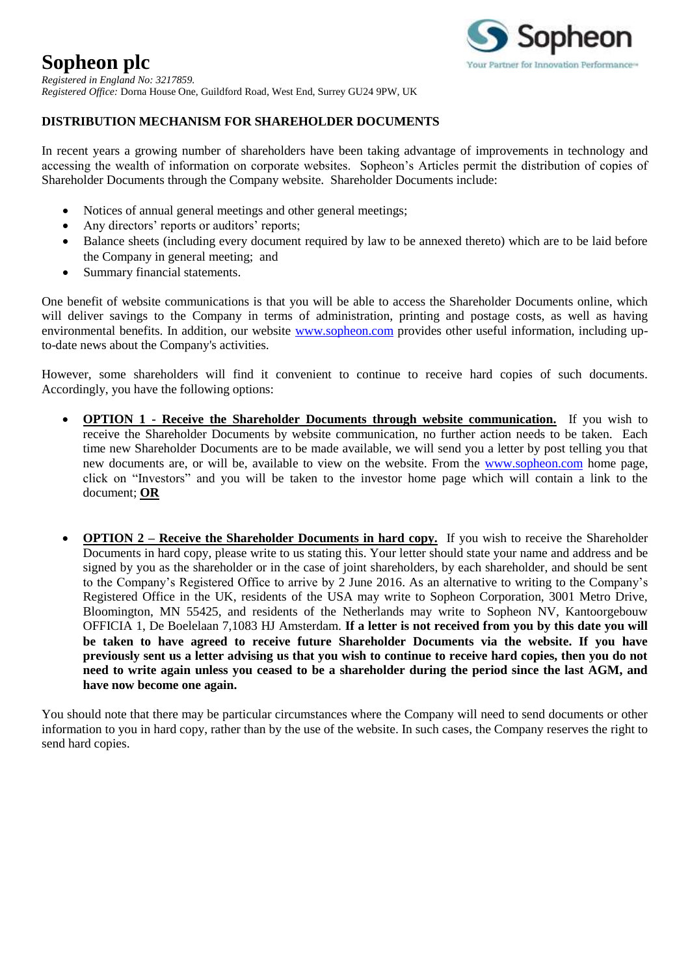



*Registered in England No: 3217859. Registered Office:* Dorna House One, Guildford Road, West End, Surrey GU24 9PW, UK

## **DISTRIBUTION MECHANISM FOR SHAREHOLDER DOCUMENTS**

In recent years a growing number of shareholders have been taking advantage of improvements in technology and accessing the wealth of information on corporate websites. Sopheon's Articles permit the distribution of copies of Shareholder Documents through the Company website. Shareholder Documents include:

- Notices of annual general meetings and other general meetings;
- Any directors' reports or auditors' reports;
- Balance sheets (including every document required by law to be annexed thereto) which are to be laid before the Company in general meeting; and
- Summary financial statements.

One benefit of website communications is that you will be able to access the Shareholder Documents online, which will deliver savings to the Company in terms of administration, printing and postage costs, as well as having environmental benefits. In addition, our website [www.sopheon.com](http://www.sopheon.com/) provides other useful information, including upto-date news about the Company's activities.

However, some shareholders will find it convenient to continue to receive hard copies of such documents. Accordingly, you have the following options:

- **OPTION 1 - Receive the Shareholder Documents through website communication.** If you wish to receive the Shareholder Documents by website communication, no further action needs to be taken. Each time new Shareholder Documents are to be made available, we will send you a letter by post telling you that new documents are, or will be, available to view on the website. From the [www.sopheon.com](http://www.sopheon.com/) home page, click on "Investors" and you will be taken to the investor home page which will contain a link to the document; **OR**
- **OPTION 2 Receive the Shareholder Documents in hard copy.** If you wish to receive the Shareholder Documents in hard copy, please write to us stating this. Your letter should state your name and address and be signed by you as the shareholder or in the case of joint shareholders, by each shareholder, and should be sent to the Company's Registered Office to arrive by 2 June 2016. As an alternative to writing to the Company's Registered Office in the UK, residents of the USA may write to Sopheon Corporation, 3001 Metro Drive, Bloomington, MN 55425, and residents of the Netherlands may write to Sopheon NV, Kantoorgebouw OFFICIA 1, De Boelelaan 7,1083 HJ Amsterdam. **If a letter is not received from you by this date you will be taken to have agreed to receive future Shareholder Documents via the website. If you have previously sent us a letter advising us that you wish to continue to receive hard copies, then you do not need to write again unless you ceased to be a shareholder during the period since the last AGM, and have now become one again.**

You should note that there may be particular circumstances where the Company will need to send documents or other information to you in hard copy, rather than by the use of the website. In such cases, the Company reserves the right to send hard copies.